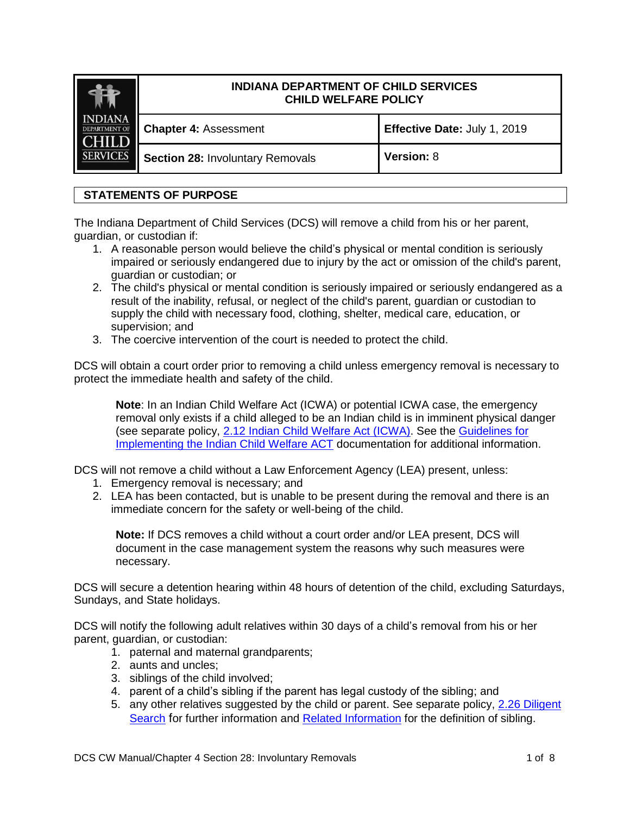|                                        | <b>INDIANA DEPARTMENT OF CHILD SERVICES</b><br><b>CHILD WELFARE POLICY</b> |                              |
|----------------------------------------|----------------------------------------------------------------------------|------------------------------|
| <b>INDIANA</b><br><b>DEPARTMENT OF</b> | <b>Chapter 4: Assessment</b>                                               | Effective Date: July 1, 2019 |
| <b>SERVICES</b>                        | <b>Section 28: Involuntary Removals</b>                                    | <b>Version: 8</b>            |

# **STATEMENTS OF PURPOSE**

The Indiana Department of Child Services (DCS) will remove a child from his or her parent, guardian, or custodian if:

- 1. A reasonable person would believe the child's physical or mental condition is seriously impaired or seriously endangered due to injury by the act or omission of the child's parent, guardian or custodian; or
- 2. The child's physical or mental condition is seriously impaired or seriously endangered as a result of the inability, refusal, or neglect of the child's parent, guardian or custodian to supply the child with necessary food, clothing, shelter, medical care, education, or supervision; and
- 3. The coercive intervention of the court is needed to protect the child.

DCS will obtain a court order prior to removing a child unless emergency removal is necessary to protect the immediate health and safety of the child.

**Note**: In an Indian Child Welfare Act (ICWA) or potential ICWA case, the emergency removal only exists if a child alleged to be an Indian child is in imminent physical danger (see separate policy, [2.12 Indian Child Welfare Act \(ICWA\).](https://www.in.gov/dcs/files/2%2012%20Indian%20Child%20Welfare%20Act%20(ICWA).pdf) See the [Guidelines for](https://www.bia.gov/sites/bia.gov/files/assets/bia/ois/pdf/idc2-056831.pdf)  [Implementing the Indian Child Welfare ACT](https://www.bia.gov/sites/bia.gov/files/assets/bia/ois/pdf/idc2-056831.pdf) documentation for additional information.

DCS will not remove a child without a Law Enforcement Agency (LEA) present, unless:

- 1. Emergency removal is necessary; and
- 2. LEA has been contacted, but is unable to be present during the removal and there is an immediate concern for the safety or well-being of the child.

**Note:** If DCS removes a child without a court order and/or LEA present, DCS will document in the case management system the reasons why such measures were necessary.

DCS will secure a detention hearing within 48 hours of detention of the child, excluding Saturdays, Sundays, and State holidays.

DCS will notify the following adult relatives within 30 days of a child's removal from his or her parent, guardian, or custodian:

- 1. paternal and maternal grandparents;
- 2. aunts and uncles;
- 3. siblings of the child involved;
- 4. parent of a child's sibling if the parent has legal custody of the sibling; and
- 5. any other relatives suggested by the child or parent. See separate policy, 2.26 [Diligent](http://www.in.gov/dcs/files/4.00%20Diligent%20Search.pdf)  [Search](http://www.in.gov/dcs/files/4.00%20Diligent%20Search.pdf) for further information and [Related Information](#page-5-0) for the definition of sibling.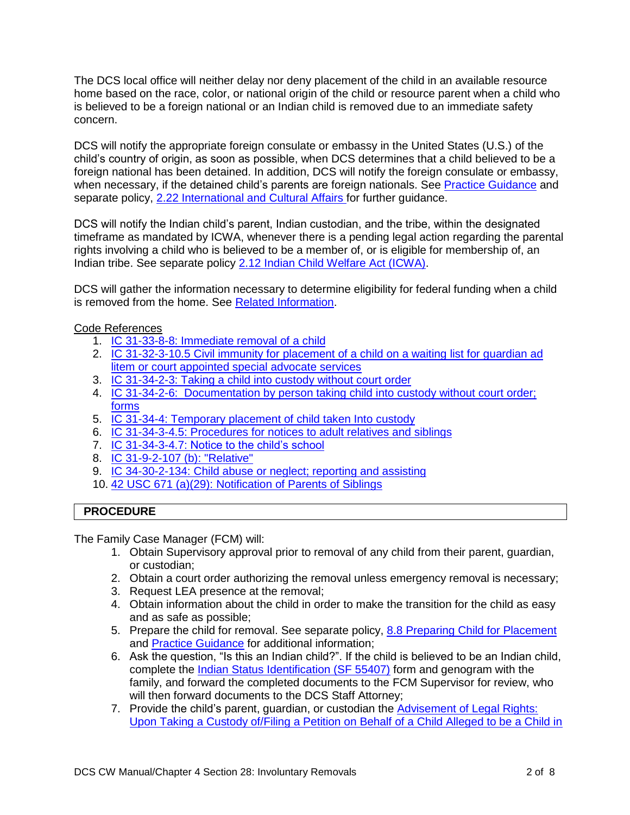The DCS local office will neither delay nor deny placement of the child in an available resource home based on the race, color, or national origin of the child or resource parent when a child who is believed to be a foreign national or an Indian child is removed due to an immediate safety concern.

DCS will notify the appropriate foreign consulate or embassy in the United States (U.S.) of the child's country of origin, as soon as possible, when DCS determines that a child believed to be a foreign national has been detained. In addition, DCS will notify the foreign consulate or embassy, when necessary, if the detained child's parents are foreign nationals. See [Practice Guidance](#page-4-0) and separate policy, 2.22 [International and Cultural Affairs](https://www.in.gov/dcs/files/2.22%20International%20and%20Cultural%20Affairs.pdf) for further guidance.

DCS will notify the Indian child's parent, Indian custodian, and the tribe, within the designated timeframe as mandated by ICWA, whenever there is a pending legal action regarding the parental rights involving a child who is believed to be a member of, or is eligible for membership of, an Indian tribe. See separate policy [2.12 Indian Child Welfare Act \(ICWA\).](https://www.in.gov/dcs/files/2.12%20Indian%20Child%20Welfare%20Act%20(ICWA).pdf)

DCS will gather the information necessary to determine eligibility for federal funding when a child is removed from the home. See [Related Information.](#page-5-0)

### Code References

- 1. IC 31-33-8-8: [Immediate removal of a child](http://iga.in.gov/legislative/laws/2019/ic/titles/031/#31-33-8-8)
- 2. IC 31-32-3-10.5 [Civil immunity for placement of a child on a waiting list for guardian ad](http://iga.in.gov/legislative/laws/2019/ic/titles/031/#31-32-3-10.5)  [litem or court appointed special advocate services](http://iga.in.gov/legislative/laws/2019/ic/titles/031/#31-32-3-10.5)
- 3. [IC 31-34-2-3: Taking a child into custody](http://iga.in.gov/legislative/laws/2019/ic/titles/031/#31-34-2-3) without court order
- 4. IC 31-34-2-6: [Documentation by person taking child into custody without court order;](http://iga.in.gov/legislative/laws/2019/ic/titles/031/#31-34-2-6)  [forms](http://iga.in.gov/legislative/laws/2019/ic/titles/031/#31-34-2-6)
- 5. IC 31-34-4: [Temporary placement of child taken Into custody](http://iga.in.gov/legislative/laws/2019/ic/titles/031/#31-34-4)
- 6. IC 31-34-3-4.5: Procedures [for notices to adult relatives and siblings](http://iga.in.gov/legislative/laws/2019/ic/titles/031/#31-34-3-4.5)
- 7. IC 31-34-3-4.7: [Notice to the child's school](http://iga.in.gov/legislative/laws/2019/ic/titles/031/#31-34-3-4.7)
- 8. [IC 31-9-2-107 \(b\):](http://iga.in.gov/legislative/laws/2019/ic/titles/031/#31-9-2-107) "Relative"
- 9. IC 34-30-2-134: [Child abuse or neglect; reporting and assisting](http://iga.in.gov/legislative/laws/2019/ic/titles/034/#34-30-2-134)
- 10. 42 USC 671 (a)(29): [Notification of Parents of Siblings](http://uscode.house.gov/view.xhtml?hl=false&edition=prelim&req=granuleid%3AUSC-prelim-title42-section671&f=treesort&num=0&saved=%7CKHRpdGxlOjQyIHNlY3Rpb246NjcyIGVkaXRpb246cHJlbGltKSBPUiAoZ3JhbnVsZWlkOlVTQy1wcmVsaW0tdGl0bGU0Mi1zZWN0aW9uNjcyKQ%3D%3D%7CdHJlZXNvcnQ%3D%7C%7C0%7Cfalse%7Cprelim)

# **PROCEDURE**

The Family Case Manager (FCM) will:

- 1. Obtain Supervisory approval prior to removal of any child from their parent, guardian, or custodian;
- 2. Obtain a court order authorizing the removal unless emergency removal is necessary;
- 3. Request LEA presence at the removal;
- 4. Obtain information about the child in order to make the transition for the child as easy and as safe as possible;
- 5. Prepare the child for removal. See separate policy, [8.8 Preparing Child for Placement](https://www.in.gov/dcs/files/8.08%20Preparing%20Child%20for%20Placement.pdf) and [Practice Guidance](#page-4-0) for additional information;
- 6. Ask the question, "Is this an Indian child?". If the child is believed to be an Indian child, complete the [Indian Status Identification \(SF 55407\)](https://forms.in.gov/Download.aspx?id=11363) form and genogram with the family, and forward the completed documents to the FCM Supervisor for review, who will then forward documents to the DCS Staff Attorney;
- 7. Provide the child's parent, guardian, or custodian the [Advisement of Legal Rights:](https://forms.in.gov/download.aspx?id=8261)  [Upon Taking a Custody of/Filing a Petition on Behalf of a Child Alleged to be a Child in](https://forms.in.gov/download.aspx?id=8261)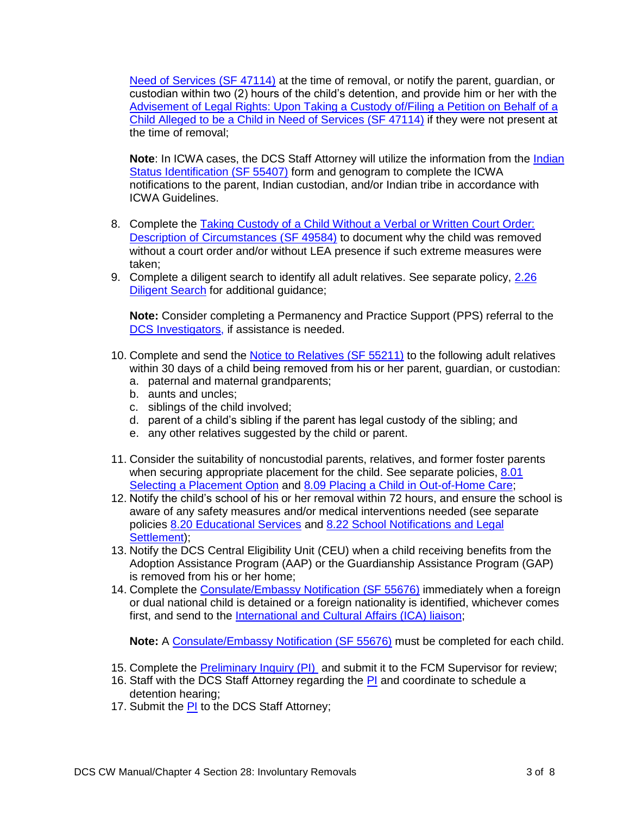[Need of Services \(SF 47114\)](https://forms.in.gov/download.aspx?id=8261) at the time of removal, or notify the parent, guardian, or custodian within two (2) hours of the child's detention, and provide him or her with the [Advisement of Legal Rights: Upon Taking a Custody of/Filing a Petition on Behalf of a](https://forms.in.gov/download.aspx?id=8261)  [Child Alleged to be a Child in Need of Services \(SF 47114\)](https://forms.in.gov/download.aspx?id=8261) if they were not present at the time of removal;

**Note**: In ICWA cases, the DCS Staff Attorney will utilize the information from the [Indian](https://forms.in.gov/Download.aspx?id=11363)  [Status Identification](https://forms.in.gov/Download.aspx?id=11363) (SF 55407) form and genogram to complete the ICWA notifications to the parent, Indian custodian, and/or Indian tribe in accordance with ICWA Guidelines.

- 8. Complete the Taking Custody of a Child Without a Verbal or Written Court Order: [Description of Circumstances](https://forms.in.gov/download.aspx?id=5599) (SF 49584) to document why the child was removed without a court order and/or without LEA presence if such extreme measures were taken;
- 9. Complete a diligent search to identify all adult relatives. See separate policy, [2.26](https://www.in.gov/dcs/files/4.0%20Diligent%20Search.pdf) [Diligent Search](https://www.in.gov/dcs/files/4.0%20Diligent%20Search.pdf) for additional guidance;

**Note:** Consider completing a Permanency and Practice Support (PPS) referral to the DCS Investigators, if assistance is needed.

- 10. Complete and send the [Notice to Relatives \(SF 55211\)](https://forms.in.gov/Download.aspx?id=11027) to the following adult relatives within 30 days of a child being removed from his or her parent, guardian, or custodian:
	- a. paternal and maternal grandparents;
	- b. aunts and uncles;
	- c. siblings of the child involved;
	- d. parent of a child's sibling if the parent has legal custody of the sibling; and
	- e. any other relatives suggested by the child or parent.
- 11. Consider the suitability of noncustodial parents, relatives, and former foster parents when securing appropriate placement for the child. See separate policies, 8.01 [Selecting a Placement Option](https://www.in.gov/dcs/files/8.01%20Selecting%20a%20Placement%20Option.pdf) and [8.09 Placing a Child in Out-of-Home Care;](https://www.in.gov/dcs/files/8.09%20Placing%20a%20Child%20in%20Out-of-Home%20Care.pdf)
- 12. Notify the child's school of his or her removal within 72 hours, and ensure the school is aware of any safety measures and/or medical interventions needed (see separate policies [8.20 Educational Services](https://www.in.gov/dcs/files/8.20%20Educational%20Services.pdf) and [8.22 School Notifications and Legal](https://www.in.gov/dcs/files/8.22%20School%20Notifications%20and%20Legal%20Settlement.pdf)  [Settlement\)](https://www.in.gov/dcs/files/8.22%20School%20Notifications%20and%20Legal%20Settlement.pdf);
- 13. Notify the DCS Central Eligibility Unit (CEU) when a child receiving benefits from the Adoption Assistance Program (AAP) or the Guardianship Assistance Program (GAP) is removed from his or her home;
- 14. Complete the [Consulate/Embassy Notification](https://forms.in.gov/download.aspx?id=12010) (SF 55676) immediately when a foreign or dual national child is detained or a foreign nationality is identified, whichever comes first, and send to the [International and Cultural Affairs \(ICA\) liaison;](https://ingov.sharepoint.com/sites/DCSPublic/Permanency/SitePages/International%20and%20Cultural%20Affairs.aspx)

**Note:** A [Consulate/Embassy Notification](https://forms.in.gov/download.aspx?id=12010) (SF 55676) must be completed for each child.

- 15. Complete the **Preliminary Inquiry (PI)** and submit it to the FCM Supervisor for review;
- 16. Staff with the DCS Staff Attorney regarding the [PI](http://www.in.gov/dcs/files/intakeofficersreport.doc) and coordinate to schedule a detention hearing;
- 17. Submit the **PI** to the DCS Staff Attorney;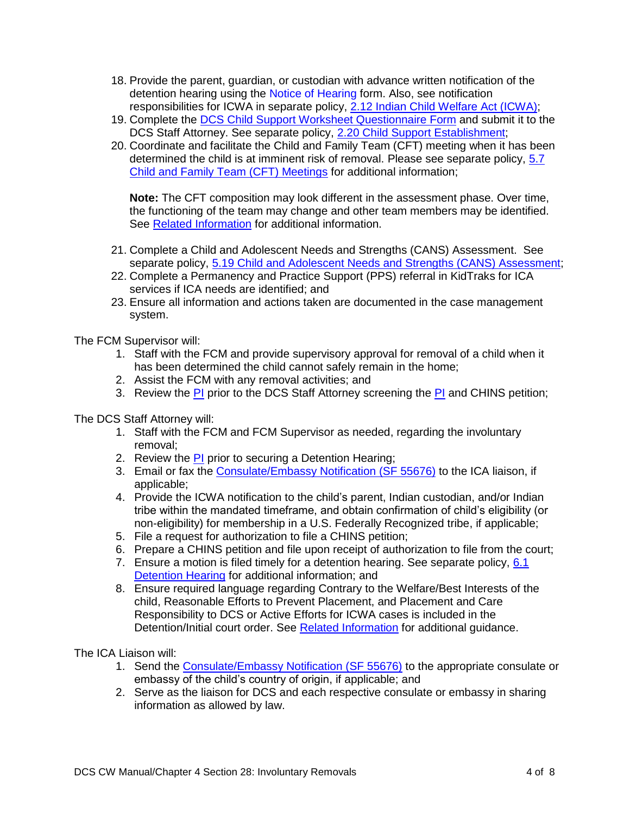- 18. Provide the parent, guardian, or custodian with advance written notification of the detention hearing using the Notice of Hearing form. Also, see notification responsibilities for ICWA in separate policy, [2.12 Indian Child Welfare Act \(ICWA\);](http://www.in.gov/dcs/files/2.12%20Indian%20Child%20Welfare%20Act%20(ICWA).pdf)
- 19. Complete the [DCS Child Support Worksheet Questionnaire Form](http://www.in.gov/dcs/files/Child_Support_Worksheet_Questionnaire_Form.pdf) and submit it to the DCS Staff Attorney. See separate policy, [2.20 Child Support Establishment;](https://www.in.gov/dcs/files/2.20%20Child%20Support%20Establishment.pdf)
- 20. Coordinate and facilitate the Child and Family Team (CFT) meeting when it has been determined the child is at imminent risk of removal. Please see separate policy, 5.7 [Child and Family Team \(CFT\) Meetings](http://www.in.gov/dcs/files/5.07%20Child%20and%20Family%20Team%20Meetings.pdf) for additional information;

**Note:** The CFT composition may look different in the assessment phase. Over time, the functioning of the team may change and other team members may be identified. See [Related Information](#page-5-0) for additional information.

- 21. Complete a Child and Adolescent Needs and Strengths (CANS) Assessment. See separate policy, 5.19 Child and Adolescent Needs and Strengths (CANS) Assessment;
- 22. Complete a Permanency and Practice Support (PPS) referral in KidTraks for ICA services if ICA needs are identified; and
- 23. Ensure all information and actions taken are documented in the case management system.

The FCM Supervisor will:

- 1. Staff with the FCM and provide supervisory approval for removal of a child when it has been determined the child cannot safely remain in the home;
- 2. Assist the FCM with any removal activities; and
- 3. Review the [PI](http://www.in.gov/dcs/files/intakeofficersreport.doc) prior to the DCS Staff Attorney screening the PI and CHINS petition;

The DCS Staff Attorney will:

- 1. Staff with the FCM and FCM Supervisor as needed, regarding the involuntary removal;
- 2. Review the [PI](http://www.in.gov/dcs/files/intakeofficersreport.doc) prior to securing a Detention Hearing;
- 3. Email or fax the [Consulate/Embassy Notification](https://forms.in.gov/download.aspx?id=12010) (SF 55676) to the ICA liaison, if applicable;
- 4. Provide the ICWA notification to the child's parent, Indian custodian, and/or Indian tribe within the mandated timeframe, and obtain confirmation of child's eligibility (or non-eligibility) for membership in a U.S. Federally Recognized tribe, if applicable;
- 5. File a request for authorization to file a CHINS petition;
- 6. Prepare a CHINS petition and file upon receipt of authorization to file from the court;
- 7. Ensure a motion is filed timely for a detention hearing. See separate policy, [6.1](http://www.in.gov/dcs/files/6.01%20Detention%20Hearing.pdf)  [Detention Hearing](http://www.in.gov/dcs/files/6.01%20Detention%20Hearing.pdf) for additional information; and
- 8. Ensure required language regarding Contrary to the Welfare/Best Interests of the child, Reasonable Efforts to Prevent Placement, and Placement and Care Responsibility to DCS or Active Efforts for ICWA cases is included in the Detention/Initial court order. See [Related Information](#page-5-0) for additional guidance.

The ICA Liaison will:

- 1. Send the [Consulate/Embassy Notification](https://forms.in.gov/download.aspx?id=12010) (SF 55676) to the appropriate consulate or embassy of the child's country of origin, if applicable; and
- 2. Serve as the liaison for DCS and each respective consulate or embassy in sharing information as allowed by law.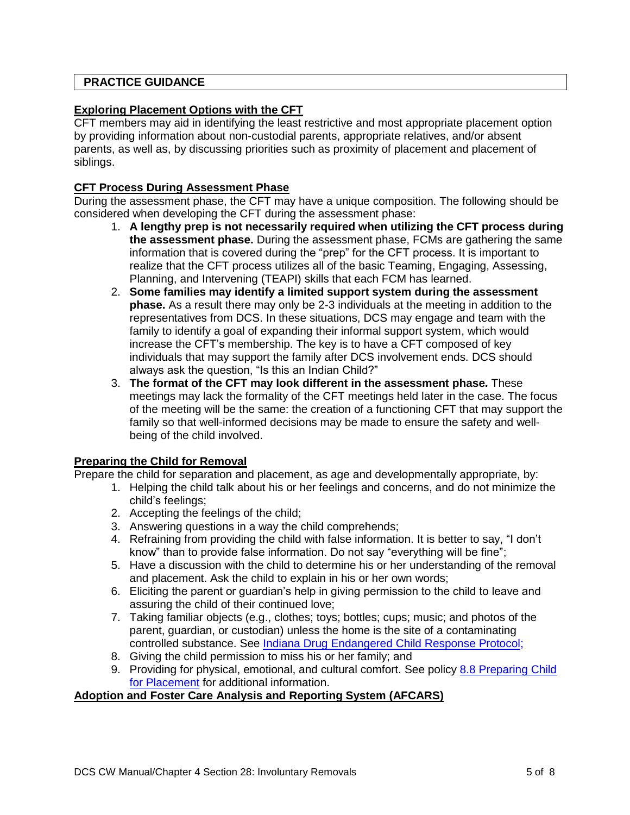# <span id="page-4-0"></span>**PRACTICE GUIDANCE**

## **Exploring Placement Options with the CFT**

CFT members may aid in identifying the least restrictive and most appropriate placement option by providing information about non-custodial parents, appropriate relatives, and/or absent parents, as well as, by discussing priorities such as proximity of placement and placement of siblings.

# **CFT Process During Assessment Phase**

During the assessment phase, the CFT may have a unique composition. The following should be considered when developing the CFT during the assessment phase:

- 1. **A lengthy prep is not necessarily required when utilizing the CFT process during the assessment phase.** During the assessment phase, FCMs are gathering the same information that is covered during the "prep" for the CFT process. It is important to realize that the CFT process utilizes all of the basic Teaming, Engaging, Assessing, Planning, and Intervening (TEAPI) skills that each FCM has learned.
- 2. **Some families may identify a limited support system during the assessment phase.** As a result there may only be 2-3 individuals at the meeting in addition to the representatives from DCS. In these situations, DCS may engage and team with the family to identify a goal of expanding their informal support system, which would increase the CFT's membership. The key is to have a CFT composed of key individuals that may support the family after DCS involvement ends. DCS should always ask the question, "Is this an Indian Child?"
- 3. **The format of the CFT may look different in the assessment phase.** These meetings may lack the formality of the CFT meetings held later in the case. The focus of the meeting will be the same: the creation of a functioning CFT that may support the family so that well-informed decisions may be made to ensure the safety and wellbeing of the child involved.

# **Preparing the Child for Removal**

Prepare the child for separation and placement, as age and developmentally appropriate, by:

- 1. Helping the child talk about his or her feelings and concerns, and do not minimize the child's feelings;
- 2. Accepting the feelings of the child;
- 3. Answering questions in a way the child comprehends;
- 4. Refraining from providing the child with false information. It is better to say, "I don't know" than to provide false information. Do not say "everything will be fine";
- 5. Have a discussion with the child to determine his or her understanding of the removal and placement. Ask the child to explain in his or her own words;
- 6. Eliciting the parent or guardian's help in giving permission to the child to leave and assuring the child of their continued love;
- 7. Taking familiar objects (e.g., clothes; toys; bottles; cups; music; and photos of the parent, guardian, or custodian) unless the home is the site of a contaminating controlled substance. See [Indiana Drug Endangered Child Response Protocol;](http://www.in.gov/dcs/files/IN_DECResponseProtocol.pdf)
- 8. Giving the child permission to miss his or her family; and
- 9. Providing for physical, emotional, and cultural comfort. See policy [8.8 Preparing Child](http://www.in.gov/dcs/files/8.08%20Preparing%20Child%20for%20Placement.pdf)  [for Placement](http://www.in.gov/dcs/files/8.08%20Preparing%20Child%20for%20Placement.pdf) for additional information.

### **Adoption and Foster Care Analysis and Reporting System (AFCARS)**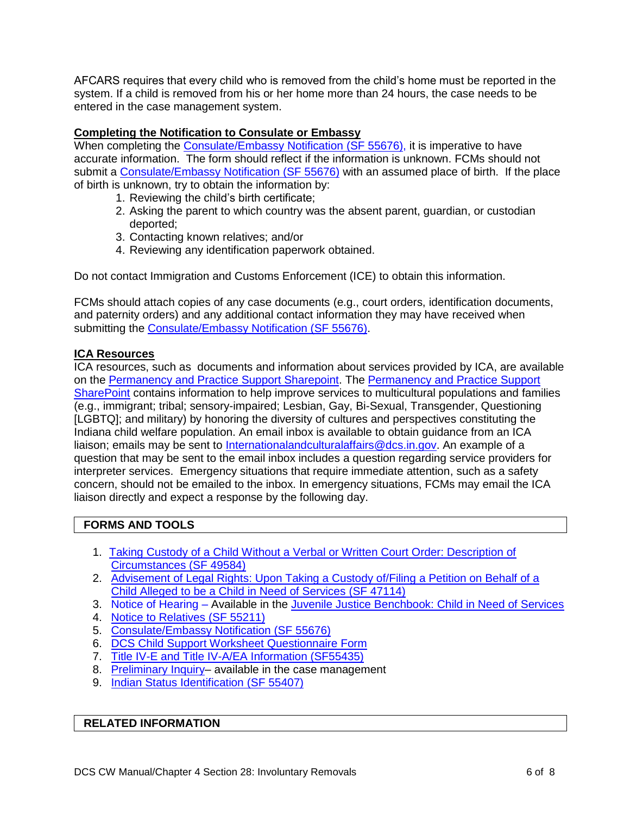AFCARS requires that every child who is removed from the child's home must be reported in the system. If a child is removed from his or her home more than 24 hours, the case needs to be entered in the case management system.

### **Completing the Notification to Consulate or Embassy**

When completing the [Consulate/Embassy Notification](https://forms.in.gov/download.aspx?id=12010) (SF 55676), it is imperative to have accurate information. The form should reflect if the information is unknown. FCMs should not submit a [Consulate/Embassy Notification](https://forms.in.gov/download.aspx?id=12010) (SF 55676) with an assumed place of birth. If the place of birth is unknown, try to obtain the information by:

- 1. Reviewing the child's birth certificate;
- 2. Asking the parent to which country was the absent parent, guardian, or custodian deported;
- 3. Contacting known relatives; and/or
- 4. Reviewing any identification paperwork obtained.

Do not contact Immigration and Customs Enforcement (ICE) to obtain this information.

FCMs should attach copies of any case documents (e.g., court orders, identification documents, and paternity orders) and any additional contact information they may have received when submitting the [Consulate/Embassy Notification \(SF 55676\).](https://forms.in.gov/download.aspx?id=12010)

#### **ICA Resources**

ICA resources, such as documents and information about services provided by ICA, are available on the [Permanency and Practice Support Sharepoint.](https://ingov.sharepoint.com/sites/DCSPublic/Permanency/SitePages/Home.aspx) The [Permanency and Practice Support](https://ingov.sharepoint.com/sites/DCSPublic/Permanency/SitePages/Home.aspx)  [SharePoint](https://ingov.sharepoint.com/sites/DCSPublic/Permanency/SitePages/Home.aspx) contains information to help improve services to multicultural populations and families (e.g., immigrant; tribal; sensory-impaired; Lesbian, Gay, Bi-Sexual, Transgender, Questioning [LGBTQ]; and military) by honoring the diversity of cultures and perspectives constituting the Indiana child welfare population. An email inbox is available to obtain guidance from an ICA liaison; emails may be sent to [Internationalandculturalaffairs@dcs.in.gov.](mailto:Internationalandculturalaffairs@dcs.in.gov) An example of a question that may be sent to the email inbox includes a question regarding service providers for interpreter services. Emergency situations that require immediate attention, such as a safety concern, should not be emailed to the inbox. In emergency situations, FCMs may email the ICA liaison directly and expect a response by the following day.

### **FORMS AND TOOLS**

- 1. [Taking Custody of a Child Without a Verbal or Written Court Order: Description of](https://forms.in.gov/download.aspx?id=5599)  [Circumstances \(SF 49584\)](https://forms.in.gov/download.aspx?id=5599)
- 2. Advisement of Legal Rights: Upon Taking a Custody of/Filing a Petition on Behalf of a [Child Alleged to be a Child in Need of Services \(SF 47114\)](https://forms.in.gov/download.aspx?id=8261)
- 3. Notice of Hearing Available in the [Juvenile Justice Benchbook: Child in Need of Services](http://www.in.gov/judiciary/center/2643.htm)
- 4. [Notice to Relatives](https://forms.in.gov/download.aspx?id=11027) (SF 55211)
- 5. [Consulate/Embassy Notification](https://forms.in.gov/Download.aspx?id=12010) (SF 55676)
- 6. [DCS Child Support Worksheet Questionnaire Form](http://www.in.gov/dcs/files/Child_Support_Worksheet_Questionnaire_Form.pdf)
- 7. [Title IV-E and Title IV-A/EA Information \(SF55435\)](https://forms.in.gov/Download.aspx?id=11506)
- 8. Preliminary Inquiry– available in the case management
- 9. [Indian Status Identification](https://forms.in.gov/Download.aspx?id=11363) (SF 55407)

#### <span id="page-5-0"></span>**RELATED INFORMATION**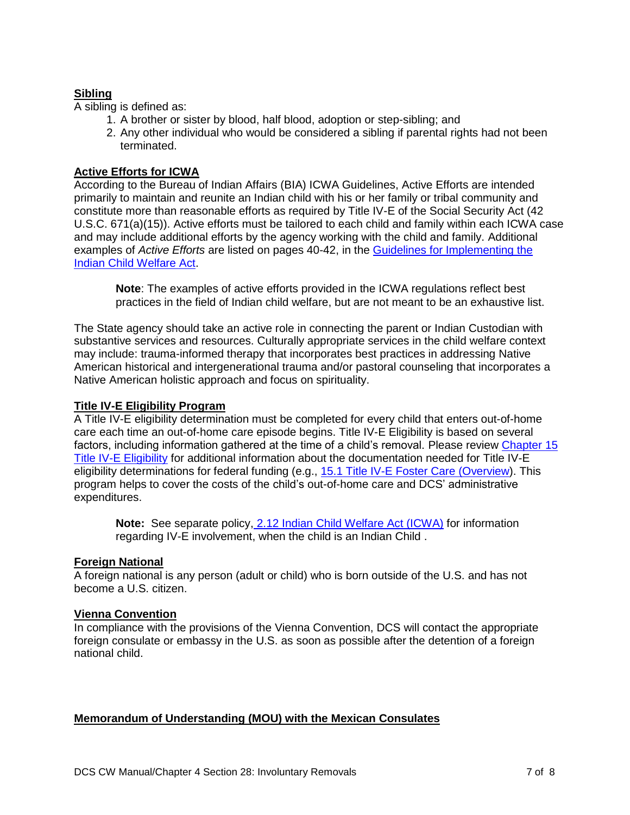# **Sibling**

A sibling is defined as:

- 1. A brother or sister by blood, half blood, adoption or step-sibling; and
- 2. Any other individual who would be considered a sibling if parental rights had not been terminated.

## **Active Efforts for ICWA**

According to the Bureau of Indian Affairs (BIA) ICWA Guidelines, Active Efforts are intended primarily to maintain and reunite an Indian child with his or her family or tribal community and constitute more than reasonable efforts as required by Title IV-E of the Social Security Act (42 U.S.C. 671(a)(15)). Active efforts must be tailored to each child and family within each ICWA case and may include additional efforts by the agency working with the child and family. Additional examples of *Active Efforts* are listed on pages 40-42, in the [Guidelines for Implementing the](https://www.bia.gov/sites/bia.gov/files/assets/bia/ois/pdf/idc2-056831.pdf)  [Indian Child Welfare Act.](https://www.bia.gov/sites/bia.gov/files/assets/bia/ois/pdf/idc2-056831.pdf)

**Note**: The examples of active efforts provided in the ICWA regulations reflect best practices in the field of Indian child welfare, but are not meant to be an exhaustive list.

The State agency should take an active role in connecting the parent or Indian Custodian with substantive services and resources. Culturally appropriate services in the child welfare context may include: trauma-informed therapy that incorporates best practices in addressing Native American historical and intergenerational trauma and/or pastoral counseling that incorporates a Native American holistic approach and focus on spirituality.

## **Title IV-E Eligibility Program**

A Title IV-E eligibility determination must be completed for every child that enters out-of-home care each time an out-of-home care episode begins. Title IV-E Eligibility is based on several factors, including information gathered at the time of a child's removal. Please review [Chapter 15](https://www.in.gov/dcs/3505.htm)  [Title IV-E Eligibility](https://www.in.gov/dcs/3505.htm) for additional information about the documentation needed for Title IV-E eligibility determinations for federal funding (e.g., 15.1 Title IV-E Foster Care (Overview). This program helps to cover the costs of the child's out-of-home care and DCS' administrative expenditures.

**Note:** See separate policy, [2.12 Indian Child Welfare Act \(ICWA\)](http://www.in.gov/dcs/files/2.12%20Indian%20Child%20Welfare%20Act%20(ICWA).pdf) for information regarding IV-E involvement, when the child is an Indian Child .

# **Foreign National**

A foreign national is any person (adult or child) who is born outside of the U.S. and has not become a U.S. citizen.

### **Vienna Convention**

In compliance with the provisions of the Vienna Convention, DCS will contact the appropriate foreign consulate or embassy in the U.S. as soon as possible after the detention of a foreign national child.

### **Memorandum of Understanding (MOU) with the Mexican Consulates**